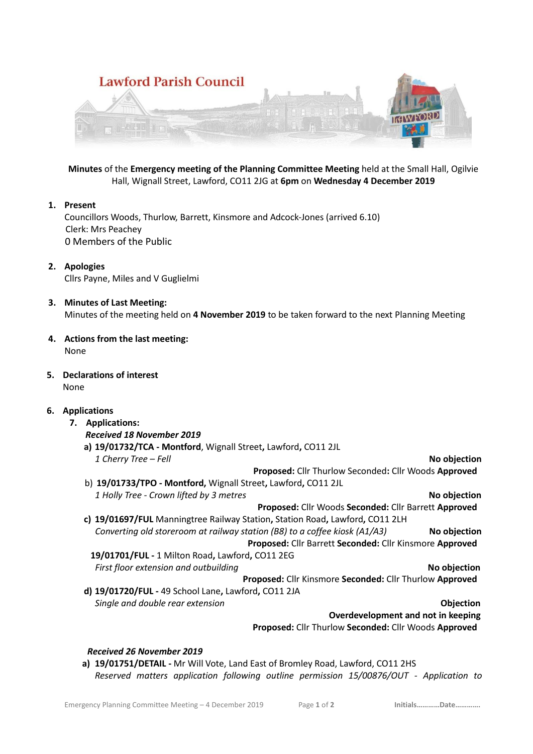

**Minutes** of the **Emergency meeting of the Planning Committee Meeting** held at the Small Hall, Ogilvie Hall, Wignall Street, Lawford, CO11 2JG at **6pm** on **Wednesday 4 December 2019**

## **1. Present**

Councillors Woods, Thurlow, Barrett, Kinsmore and Adcock-Jones (arrived 6.10) Clerk: Mrs Peachey 0 Members of the Public

- **2. Apologies** Cllrs Payne, Miles and V Guglielmi
- **3. Minutes of Last Meeting:** Minutes of the meeting held on **4 November 2019** to be taken forward to the next Planning Meeting
- **4. Actions from the last meeting:** None
- **5. Declarations of interest** None

## **6. Applications**

**7. Applications:** *Received 18 November 2019* **a) 19/01732/TCA - Montford**, Wignall Street**,** Lawford**,** CO11 2JL  *1 Cherry Tree – Fell* **No objection Proposed:** Cllr Thurlow Seconded**:** Cllr Woods **Approved** b) **19/01733/TPO - Montford,** Wignall Street**,** Lawford**,** CO11 2JL  *1 Holly Tree - Crown lifted by 3 metres* **No objection Proposed:** Cllr Woods **Seconded:** Cllr Barrett **Approved c) 19/01697/FUL** Manningtree Railway Station**,** Station Road**,** Lawford**,** CO11 2LH  *Converting old storeroom at railway station (B8) to a coffee kiosk (A1/A3)* **No objection Proposed:** Cllr Barrett **Seconded:** Cllr Kinsmore **Approved** **19/01701/FUL -** 1 Milton Road**,** Lawford**,** CO11 2EG *First floor extension and outbuilding* **No objection Proposed:** Cllr Kinsmore **Seconded:** Cllr Thurlow **Approved d) 19/01720/FUL -** 49 School Lane**,** Lawford**,** CO11 2JA  *Single and double rear extension* **Objection Overdevelopment and not in keeping Proposed:** Cllr Thurlow **Seconded:** Cllr Woods **Approved**

## *Received 26 November 2019*

**a) 19/01751/DETAIL -** Mr Will Vote, Land East of Bromley Road, Lawford, CO11 2HS *Reserved matters application following outline permission 15/00876/OUT - Application to*